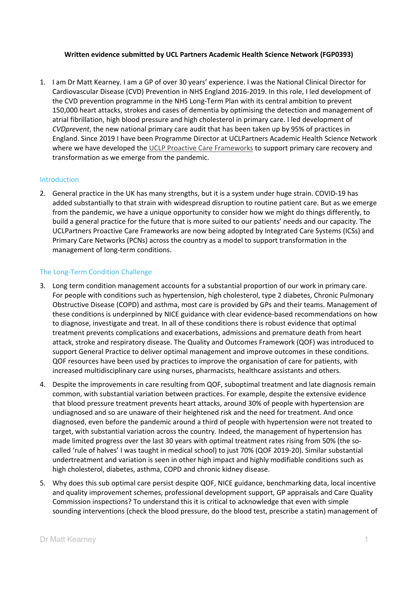### **Written evidence submitted by UCL Partners Academic Health Science Network (FGP0393)**

1. I am Dr Matt Kearney. I am a GP of over 30 years' experience. I was the National Clinical Director for Cardiovascular Disease (CVD) Prevention in NHS England 2016-2019. In this role, I led development of the CVD prevention programme in the NHS Long-Term Plan with its central ambition to prevent 150,000 heart attacks, strokes and cases of dementia by optimising the detection and management of atrial fibrillation, high blood pressure and high cholesterol in primary care. I led development of *CVDprevent*, the new national primary care audit that has been taken up by 95% of practices in England. Since 2019 I have been Programme Director at UCLPartners Academic Health Science Network where we have developed the [UCLP](https://uclpartners.com/proactive-care/) [Proactive](https://uclpartners.com/proactive-care/) [Care](https://uclpartners.com/proactive-care/) [Frameworks](https://uclpartners.com/proactive-care/) to support primary care recovery and transformation as we emerge from the pandemic.

### Introduction

2. General practice in the UK has many strengths, but it is a system under huge strain. COVID-19 has added substantially to that strain with widespread disruption to routine patient care. But as we emerge from the pandemic, we have a unique opportunity to consider how we might do things differently, to build a general practice for the future that is more suited to our patients' needs and our capacity. The UCLPartners Proactive Care Frameworks are now being adopted by Integrated Care Systems (ICSs) and Primary Care Networks (PCNs) across the country as a model to support transformation in the management of long-term conditions.

### The Long-Term Condition Challenge

- 3. Long term condition management accounts for a substantial proportion of our work in primary care. For people with conditions such as hypertension, high cholesterol, type 2 diabetes, Chronic Pulmonary Obstructive Disease (COPD) and asthma, most care is provided by GPs and their teams. Management of these conditions is underpinned by NICE guidance with clear evidence-based recommendations on how to diagnose, investigate and treat. In all of these conditions there is robust evidence that optimal treatment prevents complications and exacerbations, admissions and premature death from heart attack, stroke and respiratory disease. The Quality and Outcomes Framework (QOF) was introduced to support General Practice to deliver optimal management and improve outcomes in these conditions. QOF resources have been used by practices to improve the organisation of care for patients, with increased multidisciplinary care using nurses, pharmacists, healthcare assistants and others.
- 4. Despite the improvements in care resulting from QOF, suboptimal treatment and late diagnosis remain common, with substantial variation between practices. For example, despite the extensive evidence that blood pressure treatment prevents heart attacks, around 30% of people with hypertension are undiagnosed and so are unaware of their heightened risk and the need for treatment. And once diagnosed, even before the pandemic around a third of people with hypertension were not treated to target, with substantial variation across the country. Indeed, the management of hypertension has made limited progress over the last 30 years with optimal treatment rates rising from 50% (the socalled 'rule of halves' I was taught in medical school) to just 70% (QOF 2019-20). Similar substantial undertreatment and variation is seen in other high impact and highly modifiable conditions such as high cholesterol, diabetes, asthma, COPD and chronic kidney disease.
- 5. Why does this sub optimal care persist despite QOF, NICE guidance, benchmarking data, local incentive and quality improvement schemes, professional development support, GP appraisals and Care Quality Commission inspections? To understand this it is critical to acknowledge that even with simple sounding interventions (check the blood pressure, do the blood test, prescribe a statin) management of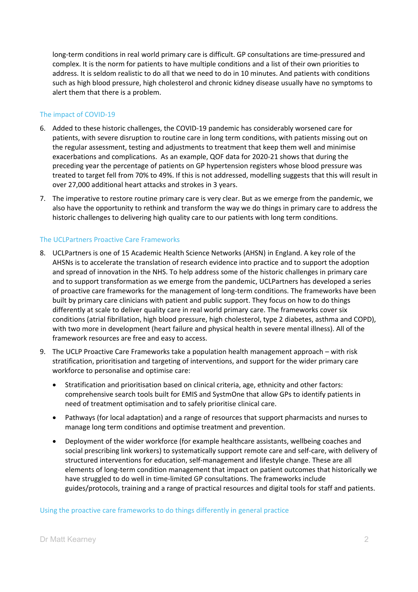long-term conditions in real world primary care is difficult. GP consultations are time-pressured and complex. It is the norm for patients to have multiple conditions and a list of their own priorities to address. It is seldom realistic to do all that we need to do in 10 minutes. And patients with conditions such as high blood pressure, high cholesterol and chronic kidney disease usually have no symptoms to alert them that there is a problem.

## The impact of COVID-19

- 6. Added to these historic challenges, the COVID-19 pandemic has considerably worsened care for patients, with severe disruption to routine care in long term conditions, with patients missing out on the regular assessment, testing and adjustments to treatment that keep them well and minimise exacerbations and complications. As an example, QOF data for 2020-21 shows that during the preceding year the percentage of patients on GP hypertension registers whose blood pressure was treated to target fell from 70% to 49%. If this is not addressed, modelling suggests that this will result in over 27,000 additional heart attacks and strokes in 3 years.
- 7. The imperative to restore routine primary care is very clear. But as we emerge from the pandemic, we also have the opportunity to rethink and transform the way we do things in primary care to address the historic challenges to delivering high quality care to our patients with long term conditions.

# The UCLPartners Proactive Care Frameworks

- 8. UCLPartners is one of 15 Academic Health Science Networks (AHSN) in England. A key role of the AHSNs is to accelerate the translation of research evidence into practice and to support the adoption and spread of innovation in the NHS. To help address some of the historic challenges in primary care and to support transformation as we emerge from the pandemic, UCLPartners has developed a series of [proactive](https://uclpartners.com/proactive-care/) [care](https://uclpartners.com/proactive-care/) [frameworks](https://uclpartners.com/proactive-care/) [for](https://uclpartners.com/proactive-care/) [the](https://uclpartners.com/proactive-care/) [management](https://uclpartners.com/proactive-care/) [of](https://uclpartners.com/proactive-care/) [long-term](https://uclpartners.com/proactive-care/) [conditions.](https://uclpartners.com/proactive-care/) The frameworks have been built by primary care clinicians with patient and public support. They focus on how to do things differently at scale to deliver quality care in real world primary care. The frameworks cover six conditions (atrial fibrillation, high blood pressure, high cholesterol, type 2 diabetes, asthma and COPD), with two more in development (heart failure and physical health in severe mental illness). All of the framework resources are free and easy to access.
- 9. The UCLP Proactive Care Frameworks take a population health management approach with risk stratification, prioritisation and targeting of interventions, and support for the wider primary care workforce to personalise and optimise care:
	- Stratification and prioritisation based on clinical criteria, age, ethnicity and other factors: comprehensive search tools built for EMIS and SystmOne that allow GPs to identify patients in need of treatment optimisation and to safely prioritise clinical care.
	- Pathways (for local adaptation) and a range of resources that support pharmacists and nurses to manage long term conditions and optimise treatment and prevention.
	- Deployment of the wider workforce (for example healthcare assistants, wellbeing coaches and social prescribing link workers) to systematically support remote care and self-care, with delivery of structured interventions for education, self-management and lifestyle change. These are all elements of long-term condition management that impact on patient outcomes that historically we have struggled to do well in time-limited GP consultations. The frameworks include guides/protocols, training and a range of practical resources and digital tools for staff and patients.

## Using the proactive care frameworks to do things differently in general practice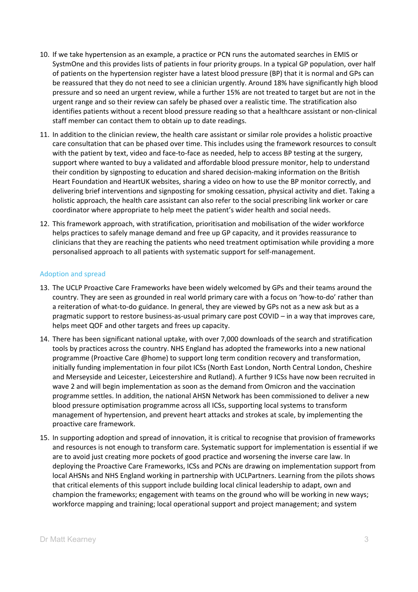- 10. If we take hypertension as an example, a practice or PCN runs the automated searches in EMIS or SystmOne and this provides lists of patients in four priority groups. In a typical GP population, over half of patients on the hypertension register have a latest blood pressure (BP) that it is normal and GPs can be reassured that they do not need to see a clinician urgently. Around 18% have significantly high blood pressure and so need an urgent review, while a further 15% are not treated to target but are not in the urgent range and so their review can safely be phased over a realistic time. The stratification also identifies patients without a recent blood pressure reading so that a healthcare assistant or non-clinical staff member can contact them to obtain up to date readings.
- 11. In addition to the clinician review, the health care assistant or similar role provides a holistic proactive care consultation that can be phased over time. This includes using the framework resources to consult with the patient by text, video and face-to-face as needed, help to access BP testing at the surgery, support where wanted to buy a validated and affordable blood pressure monitor, help to understand their condition by signposting to education and shared decision-making information on the British Heart Foundation and HeartUK websites, sharing a video on how to use the BP monitor correctly, and delivering brief interventions and signposting for smoking cessation, physical activity and diet. Taking a holistic approach, the health care assistant can also refer to the social prescribing link worker or care coordinator where appropriate to help meet the patient's wider health and social needs.
- 12. This framework approach, with stratification, prioritisation and mobilisation of the wider workforce helps practices to safely manage demand and free up GP capacity, and it provides reassurance to clinicians that they are reaching the patients who need treatment optimisation while providing a more personalised approach to all patients with systematic support for self-management.

### Adoption and spread

- 13. The UCLP Proactive Care Frameworks have been widely welcomed by GPs and their teams around the country. They are seen as grounded in real world primary care with a focus on 'how-to-do' rather than a reiteration of what-to-do guidance. In general, they are viewed by GPs not as a new ask but as a pragmatic support to restore business-as-usual primary care post COVID – in a way that improves care, helps meet QOF and other targets and frees up capacity.
- 14. There has been significant national uptake, with over 7,000 downloads of the search and stratification tools by practices across the country. NHS England has adopted the frameworks into a new national programme (Proactive Care @home) to support long term condition recovery and transformation, initially funding implementation in four pilot ICSs (North East London, North Central London, Cheshire and Merseyside and Leicester, Leicestershire and Rutland). A further 9 ICSs have now been recruited in wave 2 and will begin implementation as soon as the demand from Omicron and the vaccination programme settles. In addition, the national AHSN Network has been commissioned to deliver a new blood pressure optimisation programme across all ICSs, supporting local systems to transform management of hypertension, and prevent heart attacks and strokes at scale, by implementing the proactive care framework.
- 15. In supporting adoption and spread of innovation, it is critical to recognise that provision of frameworks and resources is not enough to transform care. Systematic support for implementation is essential if we are to avoid just creating more pockets of good practice and worsening the inverse care law. In deploying the Proactive Care Frameworks, ICSs and PCNs are drawing on implementation support from local AHSNs and NHS England working in partnership with UCLPartners. Learning from the pilots shows that critical elements of this support include building local clinical leadership to adapt, own and champion the frameworks; engagement with teams on the ground who will be working in new ways; workforce mapping and training; local operational support and project management; and system